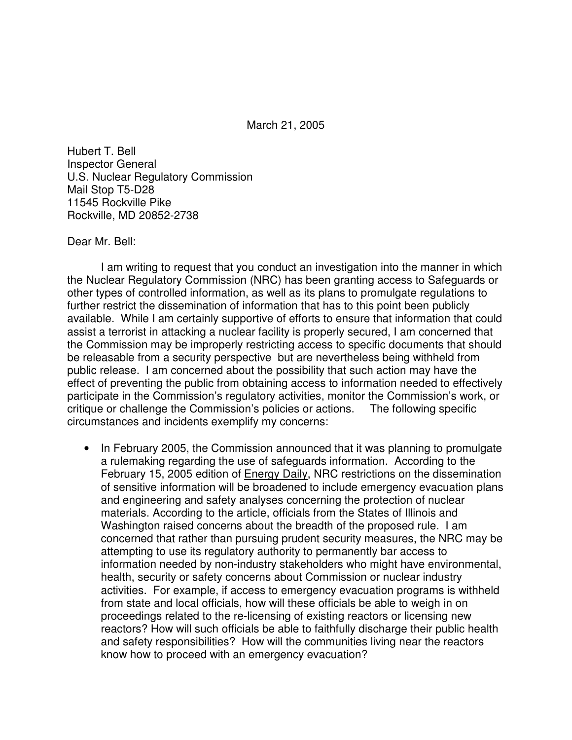March 21, 2005

Hubert T. Bell Inspector General U.S. Nuclear Regulatory Commission Mail Stop T5-D28 11545 Rockville Pike Rockville, MD 20852-2738

Dear Mr. Bell:

I am writing to request that you conduct an investigation into the manner in which the Nuclear Regulatory Commission (NRC) has been granting access to Safeguards or other types of controlled information, as well as its plans to promulgate regulations to further restrict the dissemination of information that has to this point been publicly available. While I am certainly supportive of efforts to ensure that information that could assist a terrorist in attacking a nuclear facility is properly secured, I am concerned that the Commission may be improperly restricting access to specific documents that should be releasable from a security perspective but are nevertheless being withheld from public release. I am concerned about the possibility that such action may have the effect of preventing the public from obtaining access to information needed to effectively participate in the Commission's regulatory activities, monitor the Commission's work, or critique or challenge the Commission's policies or actions. The following specific circumstances and incidents exemplify my concerns:

• In February 2005, the Commission announced that it was planning to promulgate a rulemaking regarding the use of safeguards information. According to the February 15, 2005 edition of **Energy Daily**, NRC restrictions on the dissemination of sensitive information will be broadened to include emergency evacuation plans and engineering and safety analyses concerning the protection of nuclear materials. According to the article, officials from the States of Illinois and Washington raised concerns about the breadth of the proposed rule. I am concerned that rather than pursuing prudent security measures, the NRC may be attempting to use its regulatory authority to permanently bar access to information needed by non-industry stakeholders who might have environmental, health, security or safety concerns about Commission or nuclear industry activities. For example, if access to emergency evacuation programs is withheld from state and local officials, how will these officials be able to weigh in on proceedings related to the re-licensing of existing reactors or licensing new reactors? How will such officials be able to faithfully discharge their public health and safety responsibilities? How will the communities living near the reactors know how to proceed with an emergency evacuation?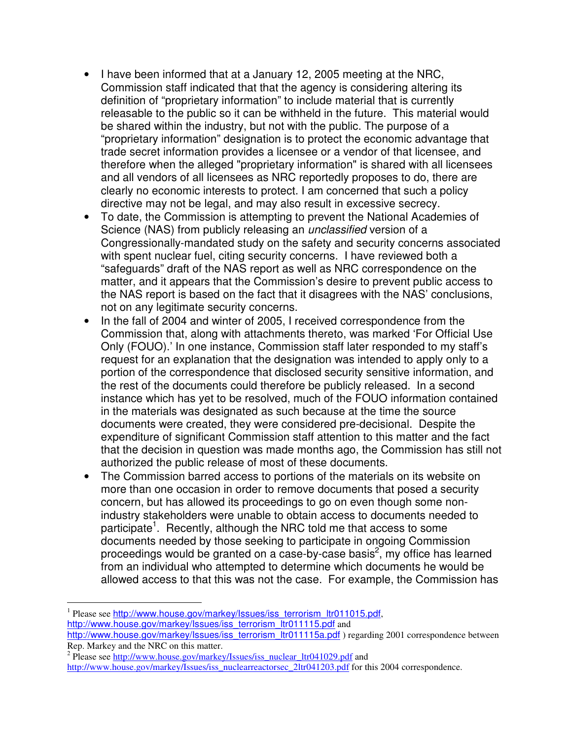- I have been informed that at a January 12, 2005 meeting at the NRC, Commission staff indicated that that the agency is considering altering its definition of "proprietary information" to include material that is currently releasable to the public so it can be withheld in the future. This material would be shared within the industry, but not with the public. The purpose of a "proprietary information" designation is to protect the economic advantage that trade secret information provides a licensee or a vendor of that licensee, and therefore when the alleged "proprietary information" is shared with all licensees and all vendors of all licensees as NRC reportedly proposes to do, there are clearly no economic interests to protect. I am concerned that such a policy directive may not be legal, and may also result in excessive secrecy.
- To date, the Commission is attempting to prevent the National Academies of Science (NAS) from publicly releasing an *unclassified* version of a Congressionally-mandated study on the safety and security concerns associated with spent nuclear fuel, citing security concerns. I have reviewed both a "safeguards" draft of the NAS report as well as NRC correspondence on the matter, and it appears that the Commission's desire to prevent public access to the NAS report is based on the fact that it disagrees with the NAS' conclusions, not on any legitimate security concerns.
- In the fall of 2004 and winter of 2005, I received correspondence from the Commission that, along with attachments thereto, was marked 'For Official Use Only (FOUO).' In one instance, Commission staff later responded to my staff's request for an explanation that the designation was intended to apply only to a portion of the correspondence that disclosed security sensitive information, and the rest of the documents could therefore be publicly released. In a second instance which has yet to be resolved, much of the FOUO information contained in the materials was designated as such because at the time the source documents were created, they were considered pre-decisional. Despite the expenditure of significant Commission staff attention to this matter and the fact that the decision in question was made months ago, the Commission has still not authorized the public release of most of these documents.
- The Commission barred access to portions of the materials on its website on more than one occasion in order to remove documents that posed a security concern, but has allowed its proceedings to go on even though some nonindustry stakeholders were unable to obtain access to documents needed to participate<sup>1</sup>. Recently, although the NRC told me that access to some documents needed by those seeking to participate in ongoing Commission proceedings would be granted on a case-by-case basis<sup>2</sup>, my office has learned from an individual who attempted to determine which documents he would be allowed access to that this was not the case. For example, the Commission has

<sup>&</sup>lt;sup>1</sup> Please see http://www.house.gov/markey/Issues/iss\_terrorism\_ltr011015.pdf, http://www.house.gov/markey/Issues/iss\_terrorism\_ltr011115.pdf and

http://www.house.gov/markey/Issues/iss\_terrorism\_ltr011115a.pdf ) regarding 2001 correspondence between Rep. Markey and the NRC on this matter.

<sup>&</sup>lt;sup>2</sup> Please see http://www.house.gov/markey/Issues/iss\_nuclear\_ltr041029.pdf and

http://www.house.gov/markey/Issues/iss\_nuclearreactorsec\_2ltr041203.pdf for this 2004 correspondence.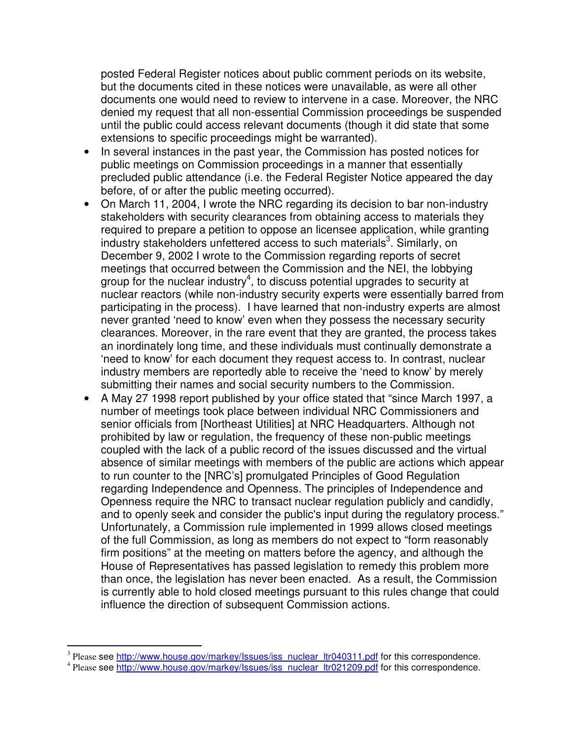posted Federal Register notices about public comment periods on its website, but the documents cited in these notices were unavailable, as were all other documents one would need to review to intervene in a case. Moreover, the NRC denied my request that all non-essential Commission proceedings be suspended until the public could access relevant documents (though it did state that some extensions to specific proceedings might be warranted).

- In several instances in the past year, the Commission has posted notices for public meetings on Commission proceedings in a manner that essentially precluded public attendance (i.e. the Federal Register Notice appeared the day before, of or after the public meeting occurred).
- On March 11, 2004, I wrote the NRC regarding its decision to bar non-industry stakeholders with security clearances from obtaining access to materials they required to prepare a petition to oppose an licensee application, while granting industry stakeholders unfettered access to such materials<sup>3</sup>. Similarly, on December 9, 2002 I wrote to the Commission regarding reports of secret meetings that occurred between the Commission and the NEI, the lobbying group for the nuclear industry<sup>4</sup>, to discuss potential upgrades to security at nuclear reactors (while non-industry security experts were essentially barred from participating in the process). I have learned that non-industry experts are almost never granted 'need to know' even when they possess the necessary security clearances. Moreover, in the rare event that they are granted, the process takes an inordinately long time, and these individuals must continually demonstrate a 'need to know' for each document they request access to. In contrast, nuclear industry members are reportedly able to receive the 'need to know' by merely submitting their names and social security numbers to the Commission.
- A May 27 1998 report published by your office stated that "since March 1997, a number of meetings took place between individual NRC Commissioners and senior officials from [Northeast Utilities] at NRC Headquarters. Although not prohibited by law or regulation, the frequency of these non-public meetings coupled with the lack of a public record of the issues discussed and the virtual absence of similar meetings with members of the public are actions which appear to run counter to the [NRC's] promulgated Principles of Good Regulation regarding Independence and Openness. The principles of Independence and Openness require the NRC to transact nuclear regulation publicly and candidly, and to openly seek and consider the public's input during the regulatory process." Unfortunately, a Commission rule implemented in 1999 allows closed meetings of the full Commission, as long as members do not expect to "form reasonably firm positions" at the meeting on matters before the agency, and although the House of Representatives has passed legislation to remedy this problem more than once, the legislation has never been enacted. As a result, the Commission is currently able to hold closed meetings pursuant to this rules change that could influence the direction of subsequent Commission actions.

<sup>&</sup>lt;sup>3</sup> Please see http://www.house.gov/markey/Issues/iss\_nuclear\_ltr040311.pdf for this correspondence.

<sup>&</sup>lt;sup>4</sup> Please see http://www.house.gov/markey/Issues/iss\_nuclear\_ltr021209.pdf for this correspondence.